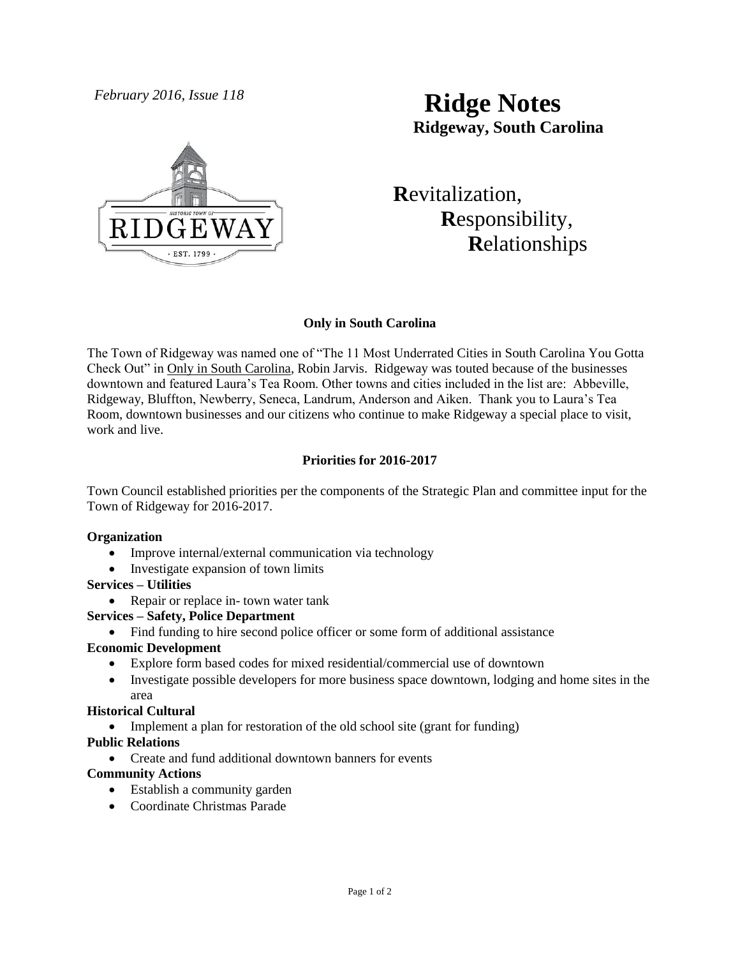

# *February 2016, Issue 118* **Ridge Notes Ridgeway, South Carolina**

 **R**evitalization,  **R**esponsibility,  **R**elationships

# **Only in South Carolina**

The Town of Ridgeway was named one of "The 11 Most Underrated Cities in South Carolina You Gotta Check Out" in Only in South Carolina, Robin Jarvis. Ridgeway was touted because of the businesses downtown and featured Laura's Tea Room. Other towns and cities included in the list are: Abbeville, Ridgeway, Bluffton, Newberry, Seneca, Landrum, Anderson and Aiken. Thank you to Laura's Tea Room, downtown businesses and our citizens who continue to make Ridgeway a special place to visit, work and live.

# **Priorities for 2016-2017**

Town Council established priorities per the components of the Strategic Plan and committee input for the Town of Ridgeway for 2016-2017.

# **Organization**

- Improve internal/external communication via technology
- Investigate expansion of town limits

#### **Services – Utilities**

• Repair or replace in-town water tank

# **Services – Safety, Police Department**

Find funding to hire second police officer or some form of additional assistance

# **Economic Development**

- Explore form based codes for mixed residential/commercial use of downtown
- Investigate possible developers for more business space downtown, lodging and home sites in the area

# **Historical Cultural**

• Implement a plan for restoration of the old school site (grant for funding)

# **Public Relations**

Create and fund additional downtown banners for events

# **Community Actions**

- Establish a community garden
- Coordinate Christmas Parade